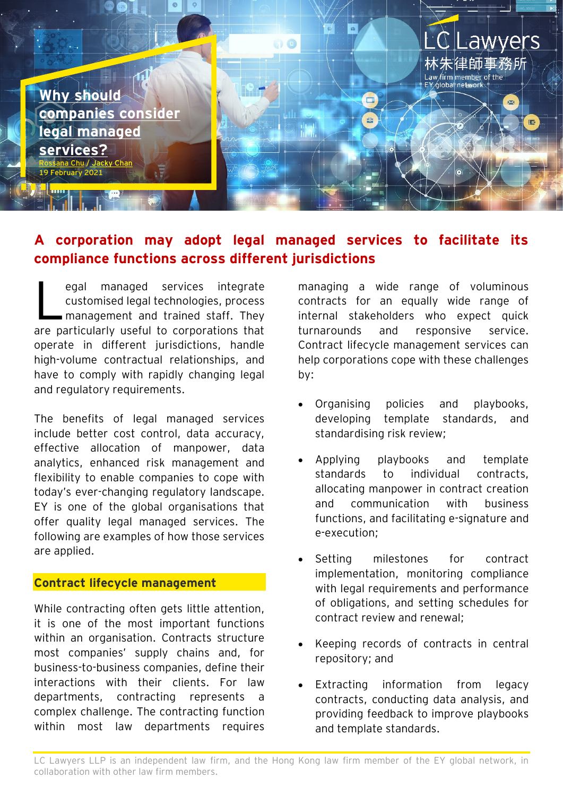

## **A corporation may adopt legal managed services to facilitate its compliance functions across different jurisdictions**

egal managed services integrate customised legal technologies, process management and trained staff. They are particularly useful to corporations that operate in different jurisdictions, handle high-volume contractual relationships, and have to comply with rapidly changing legal and regulatory requirements. L

The benefits of legal managed services include better cost control, data accuracy, effective allocation of manpower, data analytics, enhanced risk management and flexibility to enable companies to cope with today's ever-changing regulatory landscape. EY is one of the global organisations that offer quality legal managed services. The following are examples of how those services are applied.

#### **Contract lifecycle management**

While contracting often gets little attention. it is one of the most important functions within an organisation. Contracts structure most companies' supply chains and, for business-to-business companies, define their interactions with their clients. For law departments, contracting represents a complex challenge. The contracting function within most law departments requires

managing a wide range of voluminous contracts for an equally wide range of internal stakeholders who expect quick turnarounds and responsive service. Contract lifecycle management services can help corporations cope with these challenges by:

- Organising policies and playbooks, developing template standards, and standardising risk review;
- Applying playbooks and template standards to individual contracts, allocating manpower in contract creation and communication with business functions, and facilitating e-signature and e-execution;
- Setting milestones for contract implementation, monitoring compliance with legal requirements and performance of obligations, and setting schedules for contract review and renewal;
- Keeping records of contracts in central repository; and
- Extracting information from legacy contracts, conducting data analysis, and providing feedback to improve playbooks and template standards.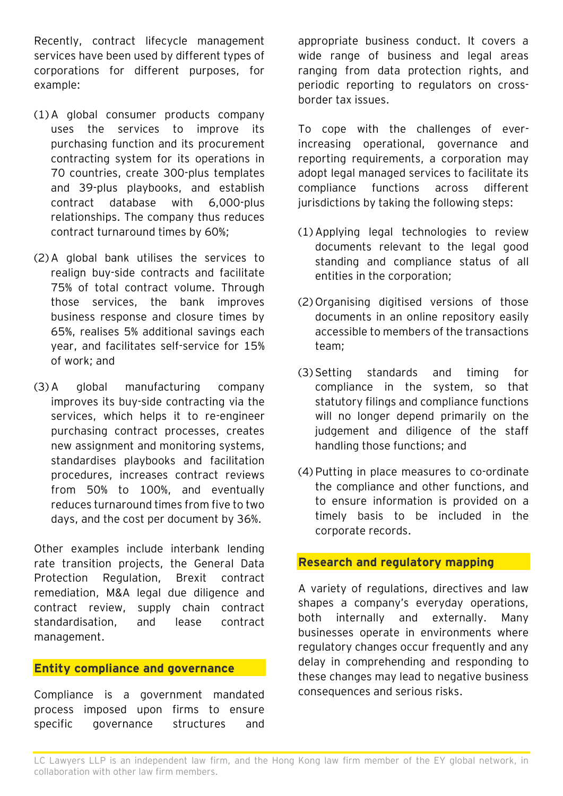Recently, contract lifecycle management services have been used by different types of corporations for different purposes, for example:

- (1) A global consumer products company uses the services to improve its purchasing function and its procurement contracting system for its operations in 70 countries, create 300-plus templates and 39-plus playbooks, and establish contract database with 6,000-plus relationships. The company thus reduces contract turnaround times by 60%;
- (2) A global bank utilises the services to realign buy-side contracts and facilitate 75% of total contract volume. Through those services, the bank improves business response and closure times by 65%, realises 5% additional savings each year, and facilitates self-service for 15% of work; and
- (3) A global manufacturing company improves its buy-side contracting via the services, which helps it to re-engineer purchasing contract processes, creates new assignment and monitoring systems, standardises playbooks and facilitation procedures, increases contract reviews from 50% to 100%, and eventually reduces turnaround times from five to two days, and the cost per document by 36%.

Other examples include interbank lending rate transition projects, the General Data Protection Regulation, Brexit contract remediation, M&A legal due diligence and contract review, supply chain contract standardisation, and lease contract management.

#### **Entity compliance and governance**

Compliance is a government mandated process imposed upon firms to ensure specific governance structures and

appropriate business conduct. It covers a wide range of business and legal areas ranging from data protection rights, and periodic reporting to regulators on crossborder tax issues.

To cope with the challenges of everincreasing operational, governance and reporting requirements, a corporation may adopt legal managed services to facilitate its compliance functions across different jurisdictions by taking the following steps:

- (1) Applying legal technologies to review documents relevant to the legal good standing and compliance status of all entities in the corporation;
- (2) Organising digitised versions of those documents in an online repository easily accessible to members of the transactions team;
- (3) Setting standards and timing for compliance in the system, so that statutory filings and compliance functions will no longer depend primarily on the judgement and diligence of the staff handling those functions; and
- (4) Putting in place measures to co-ordinate the compliance and other functions, and to ensure information is provided on a timely basis to be included in the corporate records.

#### **Research and regulatory mapping**

A variety of regulations, directives and law shapes a company's everyday operations, both internally and externally. Many businesses operate in environments where regulatory changes occur frequently and any delay in comprehending and responding to these changes may lead to negative business consequences and serious risks.

LC Lawyers LLP is an independent law firm, and the Hong Kong law firm member of the EY global network, in collaboration with other law firm members.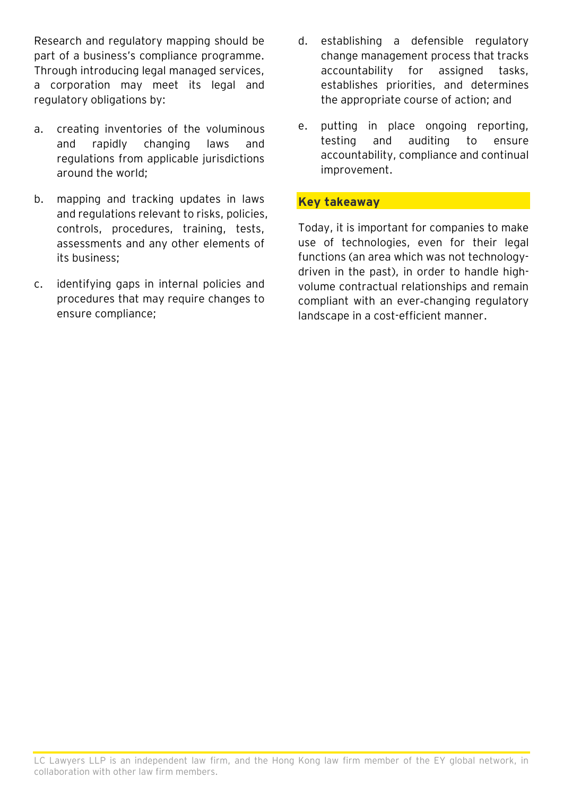Research and regulatory mapping should be part of a business's compliance programme. Through introducing legal managed services, a corporation may meet its legal and regulatory obligations by:

- a. creating inventories of the voluminous and rapidly changing laws and regulations from applicable jurisdictions around the world;
- b. mapping and tracking updates in laws and regulations relevant to risks, policies, controls, procedures, training, tests, assessments and any other elements of its business;
- c. identifying gaps in internal policies and procedures that may require changes to ensure compliance;
- d. establishing a defensible regulatory change management process that tracks accountability for assigned tasks, establishes priorities, and determines the appropriate course of action; and
- e. putting in place ongoing reporting, testing and auditing to ensure accountability, compliance and continual improvement.

### **Key takeaway**

Today, it is important for companies to make use of technologies, even for their legal functions (an area which was not technologydriven in the past), in order to handle highvolume contractual relationships and remain compliant with an ever-changing regulatory landscape in a cost-efficient manner.

LC Lawyers LLP is an independent law firm, and the Hong Kong law firm member of the EY global network, in collaboration with other law firm members.